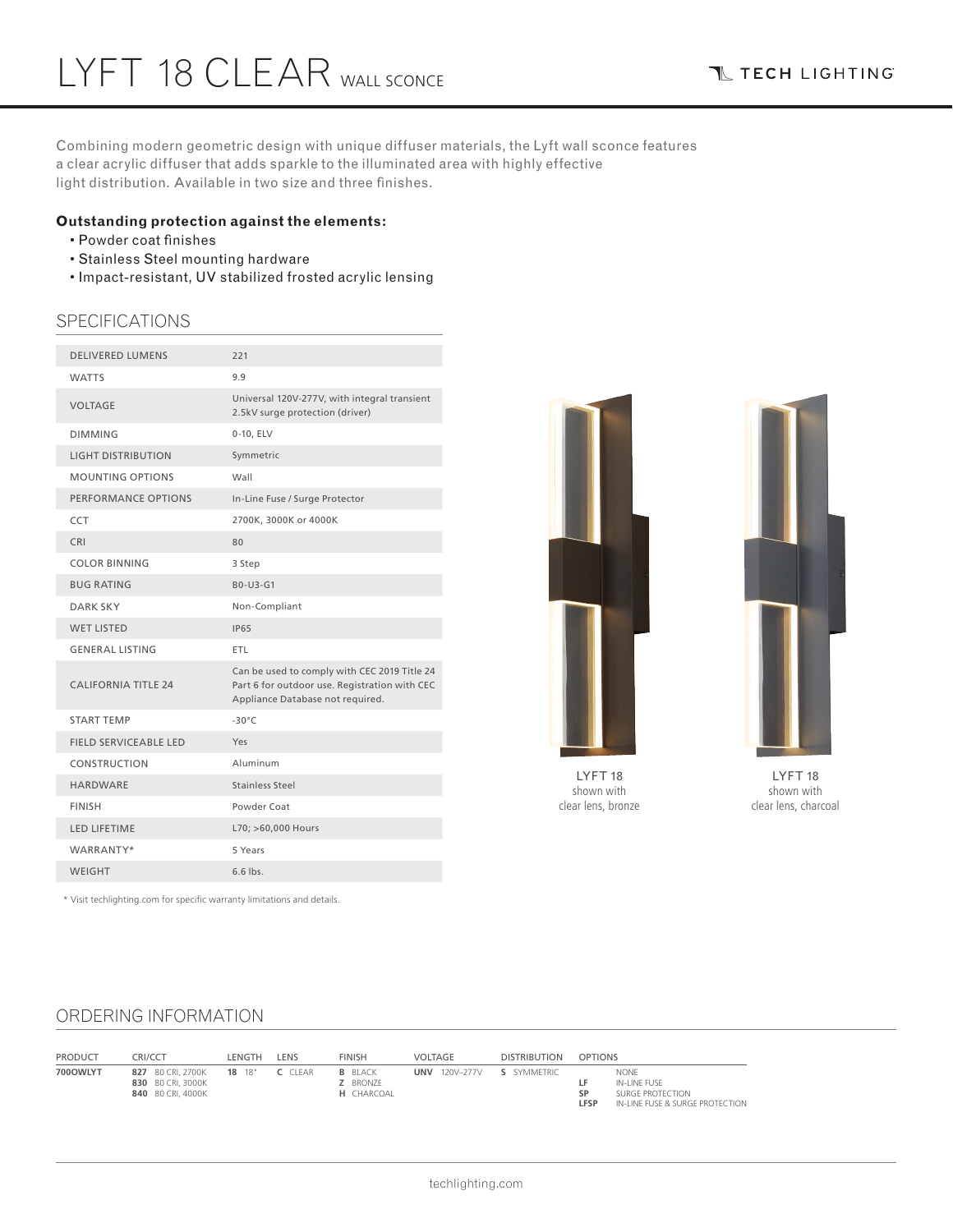Combining modern geometric design with unique diffuser materials, the Lyft wall sconce features a clear acrylic diffuser that adds sparkle to the illuminated area with highly effective light distribution. Available in two size and three finishes.

## **Outstanding protection against the elements:**

- Powder coat finishes
- Stainless Steel mounting hardware
- Impact-resistant, UV stabilized frosted acrylic lensing

# SPECIFICATIONS

| <b>DELIVERED LUMENS</b>      | 221                                                                                                                               |
|------------------------------|-----------------------------------------------------------------------------------------------------------------------------------|
| <b>WATTS</b>                 | 9.9                                                                                                                               |
| <b>VOLTAGE</b>               | Universal 120V-277V, with integral transient<br>2.5kV surge protection (driver)                                                   |
| <b>DIMMING</b>               | 0-10, ELV                                                                                                                         |
| <b>LIGHT DISTRIBUTION</b>    | Symmetric                                                                                                                         |
| <b>MOUNTING OPTIONS</b>      | Wall                                                                                                                              |
| PERFORMANCE OPTIONS          | In-Line Fuse / Surge Protector                                                                                                    |
| <b>CCT</b>                   | 2700K, 3000K or 4000K                                                                                                             |
| <b>CRI</b>                   | 80                                                                                                                                |
| COLOR BINNING                | 3 Step                                                                                                                            |
| <b>BUG RATING</b>            | B0-U3-G1                                                                                                                          |
| <b>DARK SKY</b>              | Non-Compliant                                                                                                                     |
| <b>WET LISTED</b>            | <b>IP65</b>                                                                                                                       |
| <b>GENERAL LISTING</b>       | ETL                                                                                                                               |
| <b>CALIFORNIA TITLE 24</b>   | Can be used to comply with CEC 2019 Title 24<br>Part 6 for outdoor use. Registration with CEC<br>Appliance Database not required. |
| <b>START TEMP</b>            | $-30^{\circ}$ C                                                                                                                   |
| <b>FIELD SERVICEABLE LED</b> | Yes                                                                                                                               |
| CONSTRUCTION                 | Aluminum                                                                                                                          |
| <b>HARDWARE</b>              | Stainless Steel                                                                                                                   |
| <b>FINISH</b>                | Powder Coat                                                                                                                       |
| <b>LED LIFETIME</b>          | L70; >60,000 Hours                                                                                                                |
| WARRANTY*                    | 5 Years                                                                                                                           |
| <b>WEIGHT</b>                | $6.6$ lbs.                                                                                                                        |
|                              |                                                                                                                                   |





LYFT 18 shown with clear lens, bronze

LYFT 18 shown with clear lens, charcoal

\* Visit techlighting.com for specific warranty limitations and details.

# ORDERING INFORMATION

| <b>PRODUCT</b> | CRI/CCT                                                                     | LENGTH | LENS | <b>FINISH</b>                                          | VOLTAGE              | <b>DISTRIBUTION</b> | <b>OPTIONS</b> |                                                                             |
|----------------|-----------------------------------------------------------------------------|--------|------|--------------------------------------------------------|----------------------|---------------------|----------------|-----------------------------------------------------------------------------|
| 700OWLYT       | 827 80 CRI. 270 0K 18 18" C CLEAR<br>830 80 CRI. 3000K<br>840 80 CRI. 4000K |        |      | <b>B</b> BLACK<br><b>Z</b> BRONZE<br><b>H</b> CHARCOAL | <b>UNV</b> 120V-277V | S SYMMETRIC         | CD<br>LFSP     | NONE<br>IN-LINE FUSE<br>SURGE PROTECTION<br>IN-LINE FUSE & SURGE PROTECTION |